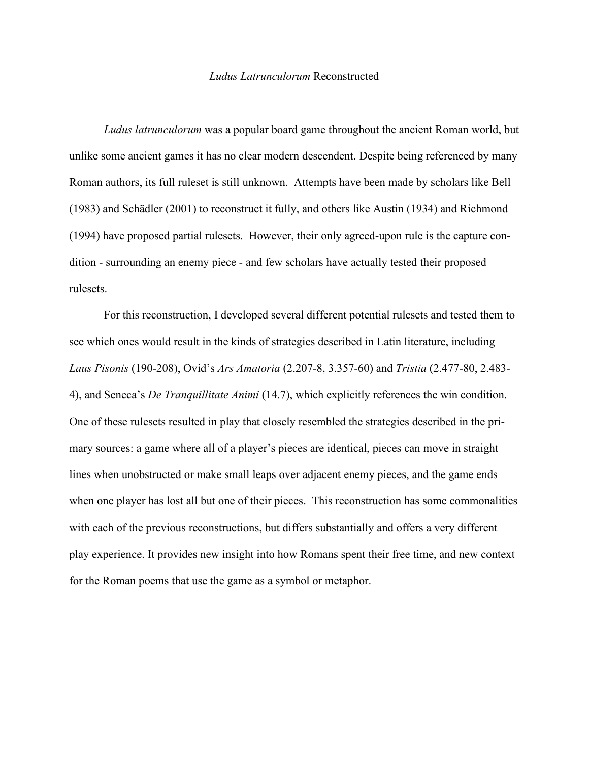## *Ludus Latrunculorum* Reconstructed

*Ludus latrunculorum* was a popular board game throughout the ancient Roman world, but unlike some ancient games it has no clear modern descendent. Despite being referenced by many Roman authors, its full ruleset is still unknown. Attempts have been made by scholars like Bell (1983) and Schädler (2001) to reconstruct it fully, and others like Austin (1934) and Richmond (1994) have proposed partial rulesets. However, their only agreed-upon rule is the capture condition - surrounding an enemy piece - and few scholars have actually tested their proposed rulesets.

For this reconstruction, I developed several different potential rulesets and tested them to see which ones would result in the kinds of strategies described in Latin literature, including *Laus Pisonis* (190-208), Ovid's *Ars Amatoria* (2.207-8, 3.357-60) and *Tristia* (2.477-80, 2.483- 4), and Seneca's *De Tranquillitate Animi* (14.7), which explicitly references the win condition. One of these rulesets resulted in play that closely resembled the strategies described in the primary sources: a game where all of a player's pieces are identical, pieces can move in straight lines when unobstructed or make small leaps over adjacent enemy pieces, and the game ends when one player has lost all but one of their pieces. This reconstruction has some commonalities with each of the previous reconstructions, but differs substantially and offers a very different play experience. It provides new insight into how Romans spent their free time, and new context for the Roman poems that use the game as a symbol or metaphor.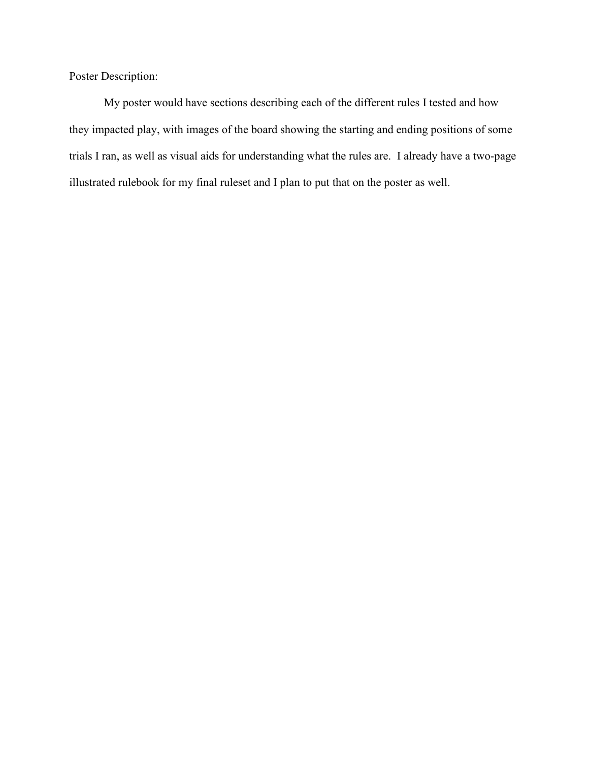Poster Description:

My poster would have sections describing each of the different rules I tested and how they impacted play, with images of the board showing the starting and ending positions of some trials I ran, as well as visual aids for understanding what the rules are. I already have a two-page illustrated rulebook for my final ruleset and I plan to put that on the poster as well.